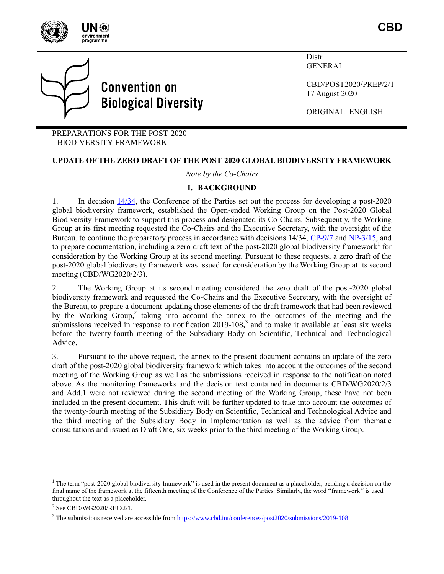

**CBD**



Distr. **GENERAL** 

CBD/POST2020/PREP/2/1 17 August 2020

ORIGINAL: ENGLISH

PREPARATIONS FOR THE POST-2020 BIODIVERSITY FRAMEWORK

#### **UPDATE OF THE ZERO DRAFT OF THE POST-2020 GLOBAL BIODIVERSITY FRAMEWORK**

*Note by the Co-Chairs*

#### **I. BACKGROUND**

1. In decision [14/34,](https://www.cbd.int/doc/decisions/cop-14/cop-14-dec-34-en.pdf) the Conference of the Parties set out the process for developing a post-2020 global biodiversity framework, established the Open-ended Working Group on the Post-2020 Global Biodiversity Framework to support this process and designated its Co-Chairs. Subsequently, the Working Group at its first meeting requested the Co-Chairs and the Executive Secretary, with the oversight of the Bureau, to continue the preparatory process in accordance with decisions 14/34, [CP-9/7](https://www.cbd.int/doc/decisions/cp-mop-09/cp-mop-09-dec-07-en.pdf) and [NP-3/15,](https://www.cbd.int/doc/decisions/np-mop-03/np-mop-03-dec-15-en.pdf) and to prepare documentation, including a zero draft text of the post-2020 global biodiversity framework<sup>1</sup> for consideration by the Working Group at its second meeting. Pursuant to these requests, a zero draft of the post-2020 global biodiversity framework was issued for consideration by the Working Group at its second meeting (CBD/WG2020/2/3).

2. The Working Group at its second meeting considered the zero draft of the post-2020 global biodiversity framework and requested the Co-Chairs and the Executive Secretary, with the oversight of the Bureau, to prepare a document updating those elements of the draft framework that had been reviewed by the Working Group,<sup>2</sup> taking into account the annex to the outcomes of the meeting and the submissions received in response to notification 2019-108,<sup>3</sup> and to make it available at least six weeks before the twenty-fourth meeting of the Subsidiary Body on Scientific, Technical and Technological Advice.

3. Pursuant to the above request, the annex to the present document contains an update of the zero draft of the post-2020 global biodiversity framework which takes into account the outcomes of the second meeting of the Working Group as well as the submissions received in response to the notification noted above. As the monitoring frameworks and the decision text contained in documents CBD/WG2020/2/3 and Add.1 were not reviewed during the second meeting of the Working Group, these have not been included in the present document. This draft will be further updated to take into account the outcomes of the twenty-fourth meeting of the Subsidiary Body on Scientific, Technical and Technological Advice and the third meeting of the Subsidiary Body in Implementation as well as the advice from thematic consultations and issued as Draft One, six weeks prior to the third meeting of the Working Group.

 $1$  The term "post-2020 global biodiversity framework" is used in the present document as a placeholder, pending a decision on the final name of the framework at the fifteenth meeting of the Conference of the Parties. Similarly, the word "framework*"* is used throughout the text as a placeholder.

 $2$  See CBD/WG2020/REC/2/1.

<sup>3</sup> The submissions received are accessible from<https://www.cbd.int/conferences/post2020/submissions/2019-108>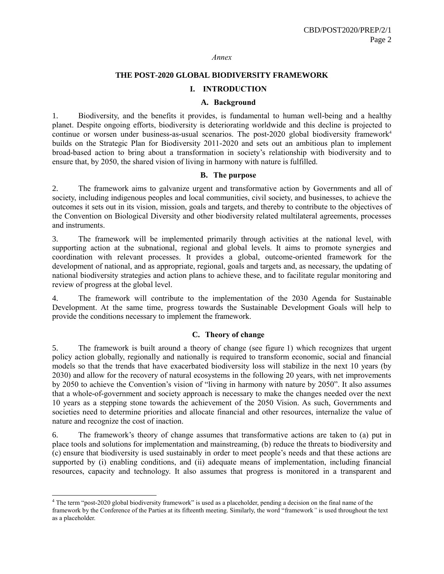#### *Annex*

### **THE POST-2020 GLOBAL BIODIVERSITY FRAMEWORK**

#### **I. INTRODUCTION**

#### **A. Background**

1. Biodiversity, and the benefits it provides, is fundamental to human well-being and a healthy planet. Despite ongoing efforts, biodiversity is deteriorating worldwide and this decline is projected to continue or worsen under business-as-usual scenarios. The post-2020 global biodiversity framework<sup>4</sup> builds on the Strategic Plan for Biodiversity 2011-2020 and sets out an ambitious plan to implement broad-based action to bring about a transformation in society's relationship with biodiversity and to ensure that, by 2050, the shared vision of living in harmony with nature is fulfilled.

### **B. The purpose**

2. The framework aims to galvanize urgent and transformative action by Governments and all of society, including indigenous peoples and local communities, civil society, and businesses, to achieve the outcomes it sets out in its vision, mission, goals and targets, and thereby to contribute to the objectives of the Convention on Biological Diversity and other biodiversity related multilateral agreements, processes and instruments.

3. The framework will be implemented primarily through activities at the national level, with supporting action at the subnational, regional and global levels. It aims to promote synergies and coordination with relevant processes. It provides a global, outcome-oriented framework for the development of national, and as appropriate, regional, goals and targets and, as necessary, the updating of national biodiversity strategies and action plans to achieve these, and to facilitate regular monitoring and review of progress at the global level.

4. The framework will contribute to the implementation of the 2030 Agenda for Sustainable Development. At the same time, progress towards the Sustainable Development Goals will help to provide the conditions necessary to implement the framework.

### **C. Theory of change**

5. The framework is built around a theory of change (see figure 1) which recognizes that urgent policy action globally, regionally and nationally is required to transform economic, social and financial models so that the trends that have exacerbated biodiversity loss will stabilize in the next 10 years (by 2030) and allow for the recovery of natural ecosystems in the following 20 years, with net improvements by 2050 to achieve the Convention's vision of "living in harmony with nature by 2050". It also assumes that a whole-of-government and society approach is necessary to make the changes needed over the next 10 years as a stepping stone towards the achievement of the 2050 Vision. As such, Governments and societies need to determine priorities and allocate financial and other resources, internalize the value of nature and recognize the cost of inaction.

6. The framework's theory of change assumes that transformative actions are taken to (a) put in place tools and solutions for implementation and mainstreaming, (b) reduce the threats to biodiversity and (c) ensure that biodiversity is used sustainably in order to meet people's needs and that these actions are supported by (i) enabling conditions, and (ii) adequate means of implementation, including financial resources, capacity and technology. It also assumes that progress is monitored in a transparent and

 $4$  The term "post-2020 global biodiversity framework" is used as a placeholder, pending a decision on the final name of the framework by the Conference of the Parties at its fifteenth meeting. Similarly, the word "framework*"* is used throughout the text as a placeholder.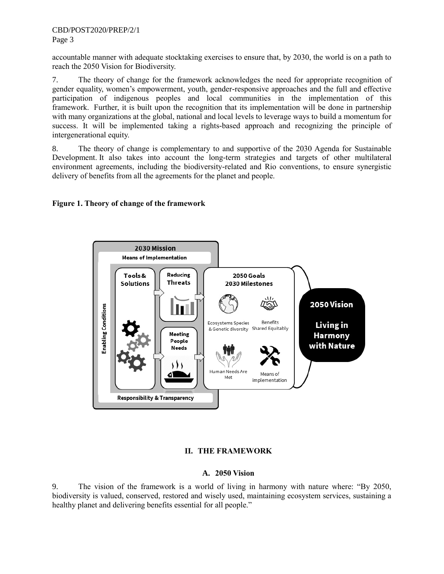accountable manner with adequate stocktaking exercises to ensure that, by 2030, the world is on a path to reach the 2050 Vision for Biodiversity.

7. The theory of change for the framework acknowledges the need for appropriate recognition of gender equality, women's empowerment, youth, gender-responsive approaches and the full and effective participation of indigenous peoples and local communities in the implementation of this framework. Further, it is built upon the recognition that its implementation will be done in partnership with many organizations at the global, national and local levels to leverage ways to build a momentum for success. It will be implemented taking a rights-based approach and recognizing the principle of intergenerational equity.

8. The theory of change is complementary to and supportive of the 2030 Agenda for Sustainable Development. It also takes into account the long-term strategies and targets of other multilateral environment agreements, including the biodiversity-related and Rio conventions, to ensure synergistic delivery of benefits from all the agreements for the planet and people.

# **Figure 1. Theory of change of the framework**



# **II. THE FRAMEWORK**

### **A. 2050 Vision**

9. The vision of the framework is a world of living in harmony with nature where: "By 2050, biodiversity is valued, conserved, restored and wisely used, maintaining ecosystem services, sustaining a healthy planet and delivering benefits essential for all people."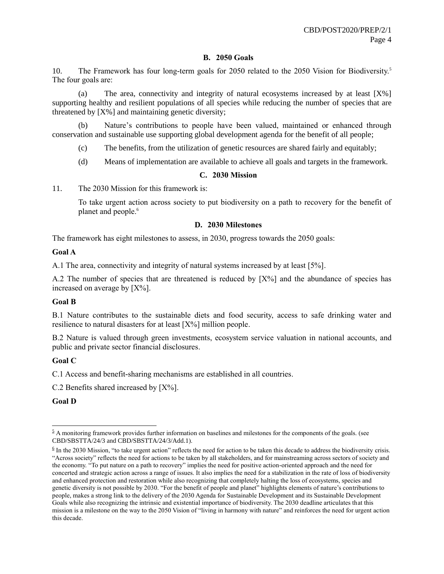### **B. 2050 Goals**

10. The Framework has four long-term goals for 2050 related to the 2050 Vision for Biodiversity.<sup>5</sup> The four goals are:

(a) The area, connectivity and integrity of natural ecosystems increased by at least  $[X\%]$ supporting healthy and resilient populations of all species while reducing the number of species that are threatened by [X%] and maintaining genetic diversity;

(b) Nature's contributions to people have been valued, maintained or enhanced through conservation and sustainable use supporting global development agenda for the benefit of all people;

(c) The benefits, from the utilization of genetic resources are shared fairly and equitably;

(d) Means of implementation are available to achieve all goals and targets in the framework.

## **C. 2030 Mission**

11. The 2030 Mission for this framework is:

To take urgent action across society to put biodiversity on a path to recovery for the benefit of planet and people.<sup>6</sup>

## **D. 2030 Milestones**

The framework has eight milestones to assess, in 2030, progress towards the 2050 goals:

### **Goal A**

A.1 The area, connectivity and integrity of natural systems increased by at least [5%].

A.2 The number of species that are threatened is reduced by  $[X\%]$  and the abundance of species has increased on average by  $[X\%]$ .

### **Goal B**

B.1 Nature contributes to the sustainable diets and food security, access to safe drinking water and resilience to natural disasters for at least [X%] million people.

B.2 Nature is valued through green investments, ecosystem service valuation in national accounts, and public and private sector financial disclosures.

### **Goal C**

C.1 Access and benefit-sharing mechanisms are established in all countries.

C.2 Benefits shared increased by  $[X\%]$ .

**Goal D**

 $\frac{5}{2}$  A monitoring framework provides further information on baselines and milestones for the components of the goals. (see CBD/SBSTTA/24/3 and CBD/SBSTTA/24/3/Add.1).

 $6$  In the 2030 Mission, "to take urgent action" reflects the need for action to be taken this decade to address the biodiversity crisis. "Across society" reflects the need for actions to be taken by all stakeholders, and for mainstreaming across sectors of society and the economy. "To put nature on a path to recovery" implies the need for positive action-oriented approach and the need for concerted and strategic action across a range of issues. It also implies the need for a stabilization in the rate of loss of biodiversity and enhanced protection and restoration while also recognizing that completely halting the loss of ecosystems, species and genetic diversity is not possible by 2030. "For the benefit of people and planet" highlights elements of nature's contributions to people, makes a strong link to the delivery of the 2030 Agenda for Sustainable Development and its Sustainable Development Goals while also recognizing the intrinsic and existential importance of biodiversity. The 2030 deadline articulates that this mission is a milestone on the way to the 2050 Vision of "living in harmony with nature" and reinforces the need for urgent action this decade.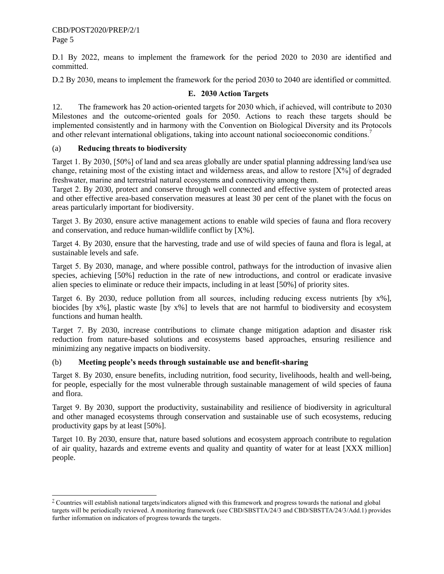CBD/POST2020/PREP/2/1 Page 5

l

D.1 By 2022, means to implement the framework for the period 2020 to 2030 are identified and committed.

D.2 By 2030, means to implement the framework for the period 2030 to 2040 are identified or committed.

# **E. 2030 Action Targets**

12. The framework has 20 action-oriented targets for 2030 which, if achieved, will contribute to 2030 Milestones and the outcome-oriented goals for 2050. Actions to reach these targets should be implemented consistently and in harmony with the Convention on Biological Diversity and its Protocols and other relevant international obligations, taking into account national socioeconomic conditions.<sup>7</sup>

## (a) **Reducing threats to biodiversity**

Target 1. By 2030, [50%] of land and sea areas globally are under spatial planning addressing land/sea use change, retaining most of the existing intact and wilderness areas, and allow to restore [X%] of degraded freshwater, marine and terrestrial natural ecosystems and connectivity among them.

Target 2. By 2030, protect and conserve through well connected and effective system of protected areas and other effective area-based conservation measures at least 30 per cent of the planet with the focus on areas particularly important for biodiversity.

Target 3. By 2030, ensure active management actions to enable wild species of fauna and flora recovery and conservation, and reduce human-wildlife conflict by [X%].

Target 4. By 2030, ensure that the harvesting, trade and use of wild species of fauna and flora is legal, at sustainable levels and safe.

Target 5. By 2030, manage, and where possible control, pathways for the introduction of invasive alien species, achieving [50%] reduction in the rate of new introductions, and control or eradicate invasive alien species to eliminate or reduce their impacts, including in at least [50%] of priority sites.

Target 6. By 2030, reduce pollution from all sources, including reducing excess nutrients [by x%], biocides [by x%], plastic waste [by x%] to levels that are not harmful to biodiversity and ecosystem functions and human health.

Target 7. By 2030, increase contributions to climate change mitigation adaption and disaster risk reduction from nature-based solutions and ecosystems based approaches, ensuring resilience and minimizing any negative impacts on biodiversity.

## (b) **Meeting people's needs through sustainable use and benefit-sharing**

Target 8. By 2030, ensure benefits, including nutrition, food security, livelihoods, health and well-being, for people, especially for the most vulnerable through sustainable management of wild species of fauna and flora.

Target 9. By 2030, support the productivity, sustainability and resilience of biodiversity in agricultural and other managed ecosystems through conservation and sustainable use of such ecosystems, reducing productivity gaps by at least [50%].

Target 10. By 2030, ensure that, nature based solutions and ecosystem approach contribute to regulation of air quality, hazards and extreme events and quality and quantity of water for at least [XXX million] people.

 $^7$  Countries will establish national targets/indicators aligned with this framework and progress towards the national and global targets will be periodically reviewed. A monitoring framework (see CBD/SBSTTA/24/3 and CBD/SBSTTA/24/3/Add.1) provides further information on indicators of progress towards the targets.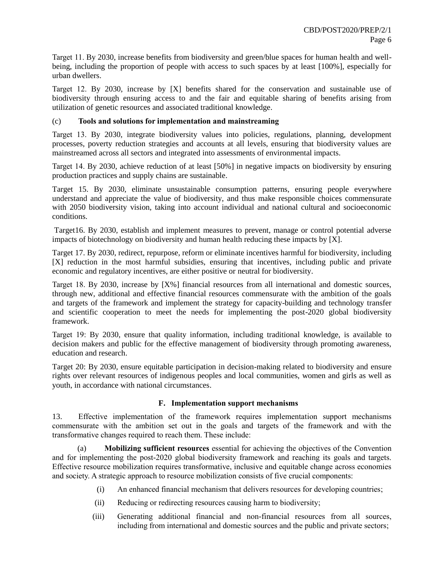Target 11. By 2030, increase benefits from biodiversity and green/blue spaces for human health and wellbeing, including the proportion of people with access to such spaces by at least [100%], especially for urban dwellers.

Target 12. By 2030, increase by [X] benefits shared for the conservation and sustainable use of biodiversity through ensuring access to and the fair and equitable sharing of benefits arising from utilization of genetic resources and associated traditional knowledge.

## (c) **Tools and solutions for implementation and mainstreaming**

Target 13. By 2030, integrate biodiversity values into policies, regulations, planning, development processes, poverty reduction strategies and accounts at all levels, ensuring that biodiversity values are mainstreamed across all sectors and integrated into assessments of environmental impacts.

Target 14. By 2030, achieve reduction of at least [50%] in negative impacts on biodiversity by ensuring production practices and supply chains are sustainable.

Target 15. By 2030, eliminate unsustainable consumption patterns, ensuring people everywhere understand and appreciate the value of biodiversity, and thus make responsible choices commensurate with 2050 biodiversity vision, taking into account individual and national cultural and socioeconomic conditions.

Target16. By 2030, establish and implement measures to prevent, manage or control potential adverse impacts of biotechnology on biodiversity and human health reducing these impacts by [X].

Target 17. By 2030, redirect, repurpose, reform or eliminate incentives harmful for biodiversity, including [X] reduction in the most harmful subsidies, ensuring that incentives, including public and private economic and regulatory incentives, are either positive or neutral for biodiversity.

Target 18. By 2030, increase by [X%] financial resources from all international and domestic sources, through new, additional and effective financial resources commensurate with the ambition of the goals and targets of the framework and implement the strategy for capacity-building and technology transfer and scientific cooperation to meet the needs for implementing the post-2020 global biodiversity framework.

Target 19: By 2030, ensure that quality information, including traditional knowledge, is available to decision makers and public for the effective management of biodiversity through promoting awareness, education and research.

Target 20: By 2030, ensure equitable participation in decision-making related to biodiversity and ensure rights over relevant resources of indigenous peoples and local communities, women and girls as well as youth, in accordance with national circumstances.

# **F. Implementation support mechanisms**

13. Effective implementation of the framework requires implementation support mechanisms commensurate with the ambition set out in the goals and targets of the framework and with the transformative changes required to reach them. These include:

(a) **Mobilizing sufficient resources** essential for achieving the objectives of the Convention and for implementing the post-2020 global biodiversity framework and reaching its goals and targets. Effective resource mobilization requires transformative, inclusive and equitable change across economies and society. A strategic approach to resource mobilization consists of five crucial components:

- (i) An enhanced financial mechanism that delivers resources for developing countries;
- (ii) Reducing or redirecting resources causing harm to biodiversity;
- (iii) Generating additional financial and non-financial resources from all sources, including from international and domestic sources and the public and private sectors;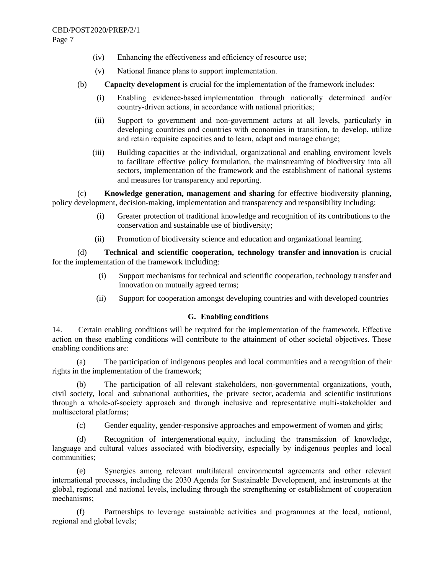Page 7

- (iv) Enhancing the effectiveness and efficiency of resource use;
- (v) National finance plans to support implementation.
- (b) **Capacity development** is crucial for the implementation of the framework includes:
	- (i) Enabling evidence-based implementation through nationally determined and/or country-driven actions, in accordance with national priorities;
	- (ii) Support to government and non-government actors at all levels, particularly in developing countries and countries with economies in transition, to develop, utilize and retain requisite capacities and to learn, adapt and manage change;
	- (iii) Building capacities at the individual, organizational and enabling enviroment levels to facilitate effective policy formulation, the mainstreaming of biodiversity into all sectors, implementation of the framework and the establishment of national systems and measures for transparency and reporting.

(c) **Knowledge generation, management and sharing** for effective biodiversity planning, policy development, decision-making, implementation and transparency and responsibility including:

- (i) Greater protection of traditional knowledge and recognition of its contributions to the conservation and sustainable use of biodiversity;
- (ii) Promotion of biodiversity science and education and organizational learning.

(d) **Technical and scientific cooperation, technology transfer and innovation** is crucial for the implementation of the framework including:

- (i) Support mechanisms for technical and scientific cooperation, technology transfer and innovation on mutually agreed terms;
- (ii) Support for cooperation amongst developing countries and with developed countries

# **G. Enabling conditions**

14. Certain enabling conditions will be required for the implementation of the framework. Effective action on these enabling conditions will contribute to the attainment of other societal objectives. These enabling conditions are:

(a) The participation of indigenous peoples and local communities and a recognition of their rights in the implementation of the framework;

(b) The participation of all relevant stakeholders, non-governmental organizations, youth, civil society, local and subnational authorities, the private sector, academia and scientific institutions through a whole-of-society approach and through inclusive and representative multi-stakeholder and multisectoral platforms;

(c) Gender equality, gender-responsive approaches and empowerment of women and girls;

(d) Recognition of intergenerational equity, including the transmission of knowledge, language and cultural values associated with biodiversity, especially by indigenous peoples and local communities;

(e) Synergies among relevant multilateral environmental agreements and other relevant international processes, including the 2030 Agenda for Sustainable Development, and instruments at the global, regional and national levels, including through the strengthening or establishment of cooperation mechanisms;

(f) Partnerships to leverage sustainable activities and programmes at the local, national, regional and global levels;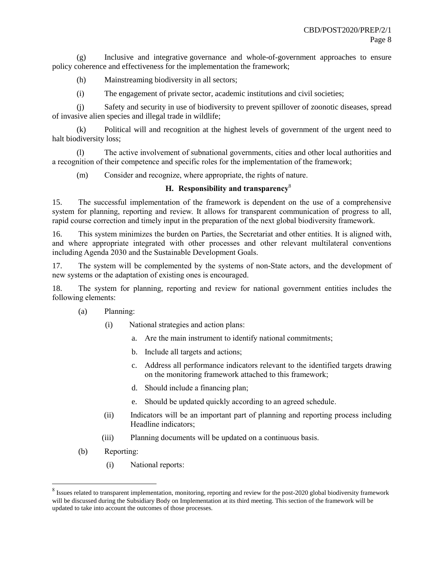(g) Inclusive and integrative governance and whole-of-government approaches to ensure policy coherence and effectiveness for the implementation the framework;

- (h) Mainstreaming biodiversity in all sectors;
- (i) The engagement of private sector, academic institutions and civil societies;

(j) Safety and security in use of biodiversity to prevent spillover of zoonotic diseases, spread of invasive alien species and illegal trade in wildlife;

(k) Political will and recognition at the highest levels of government of the urgent need to halt biodiversity loss;

(l) The active involvement of subnational governments, cities and other local authorities and a recognition of their competence and specific roles for the implementation of the framework;

(m) Consider and recognize, where appropriate, the rights of nature.

# **H. Responsibility and transparency**<sup>8</sup>

15. The successful implementation of the framework is dependent on the use of a comprehensive system for planning, reporting and review. It allows for transparent communication of progress to all, rapid course correction and timely input in the preparation of the next global biodiversity framework.

16. This system minimizes the burden on Parties, the Secretariat and other entities. It is aligned with, and where appropriate integrated with other processes and other relevant multilateral conventions including Agenda 2030 and the Sustainable Development Goals.

17. The system will be complemented by the systems of non-State actors, and the development of new systems or the adaptation of existing ones is encouraged.

18. The system for planning, reporting and review for national government entities includes the following elements:

- (a) Planning:
	- (i) National strategies and action plans:
		- a. Are the main instrument to identify national commitments;
		- b. Include all targets and actions;
		- c. Address all performance indicators relevant to the identified targets drawing on the monitoring framework attached to this framework;
		- d. Should include a financing plan;
		- e. Should be updated quickly according to an agreed schedule.
	- (ii) Indicators will be an important part of planning and reporting process including Headline indicators;
	- (iii) Planning documents will be updated on a continuous basis.
- (b) Reporting:

l

(i) National reports:

 $^8$  Issues related to transparent implementation, monitoring, reporting and review for the post-2020 global biodiversity framework will be discussed during the Subsidiary Body on Implementation at its third meeting. This section of the framework will be updated to take into account the outcomes of those processes.